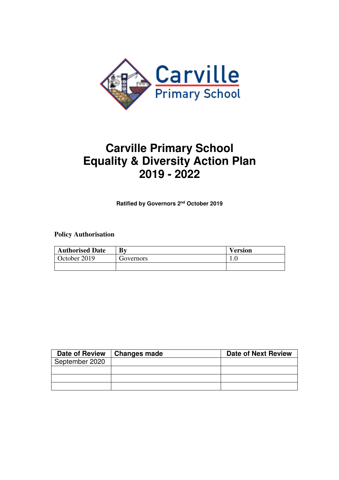

## **Carville Primary School Equality & Diversity Action Plan 2019 - 2022**

**Ratified by Governors 2nd October 2019** 

## **Policy Authorisation**

| <b>Authorised Date</b> | Bv        | Version |
|------------------------|-----------|---------|
| October 2019           | Governors | ⊥.∪     |
|                        |           |         |

| <b>Date of Review</b> | <b>Changes made</b> | <b>Date of Next Review</b> |
|-----------------------|---------------------|----------------------------|
| September 2020        |                     |                            |
|                       |                     |                            |
|                       |                     |                            |
|                       |                     |                            |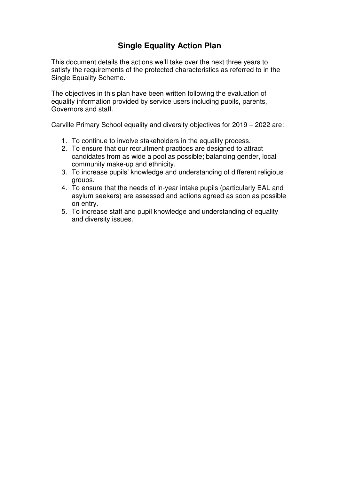## **Single Equality Action Plan**

This document details the actions we'll take over the next three years to satisfy the requirements of the protected characteristics as referred to in the Single Equality Scheme.

The objectives in this plan have been written following the evaluation of equality information provided by service users including pupils, parents, Governors and staff.

Carville Primary School equality and diversity objectives for 2019 – 2022 are:

- 1. To continue to involve stakeholders in the equality process.
- 2. To ensure that our recruitment practices are designed to attract candidates from as wide a pool as possible; balancing gender, local community make-up and ethnicity.
- 3. To increase pupils' knowledge and understanding of different religious groups.
- 4. To ensure that the needs of in-year intake pupils (particularly EAL and asylum seekers) are assessed and actions agreed as soon as possible on entry.
- 5. To increase staff and pupil knowledge and understanding of equality and diversity issues.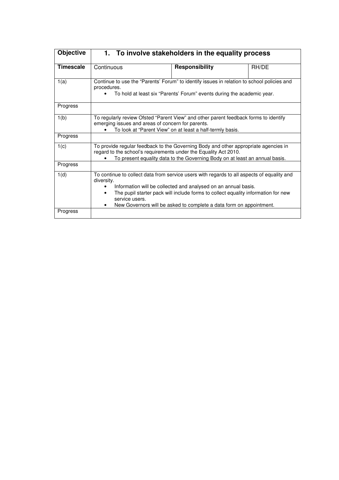| <b>Objective</b> | 1. To involve stakeholders in the equality process                                                                                                                                                                                                                                                                                                                    |                       |       |
|------------------|-----------------------------------------------------------------------------------------------------------------------------------------------------------------------------------------------------------------------------------------------------------------------------------------------------------------------------------------------------------------------|-----------------------|-------|
| <b>Timescale</b> | Continuous                                                                                                                                                                                                                                                                                                                                                            | <b>Responsibility</b> | RH/DE |
| 1(a)             | Continue to use the "Parents' Forum" to identify issues in relation to school policies and<br>procedures.<br>To hold at least six "Parents' Forum" events during the academic year.                                                                                                                                                                                   |                       |       |
| Progress         |                                                                                                                                                                                                                                                                                                                                                                       |                       |       |
| 1(b)             | To regularly review Ofsted "Parent View" and other parent feedback forms to identify<br>emerging issues and areas of concern for parents.<br>To look at "Parent View" on at least a half-termly basis.                                                                                                                                                                |                       |       |
| Progress         |                                                                                                                                                                                                                                                                                                                                                                       |                       |       |
| 1(c)             | To provide regular feedback to the Governing Body and other appropriate agencies in<br>regard to the school's requirements under the Equality Act 2010.<br>To present equality data to the Governing Body on at least an annual basis.                                                                                                                                |                       |       |
| Progress         |                                                                                                                                                                                                                                                                                                                                                                       |                       |       |
| 1(d)             | To continue to collect data from service users with regards to all aspects of equality and<br>diversity.<br>Information will be collected and analysed on an annual basis.<br>The pupil starter pack will include forms to collect equality information for new<br>$\bullet$<br>service users.<br>New Governors will be asked to complete a data form on appointment. |                       |       |
| Progress         |                                                                                                                                                                                                                                                                                                                                                                       |                       |       |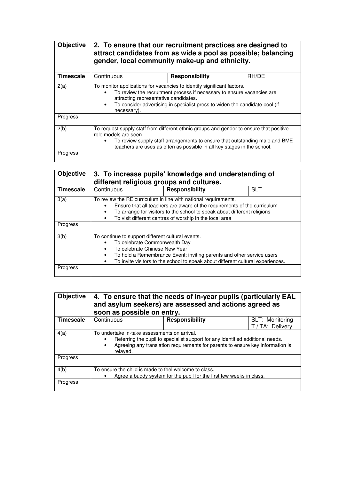| <b>Objective</b> | 2. To ensure that our recruitment practices are designed to<br>attract candidates from as wide a pool as possible; balancing<br>gender, local community make-up and ethnicity.                                                                                                          |                       |       |
|------------------|-----------------------------------------------------------------------------------------------------------------------------------------------------------------------------------------------------------------------------------------------------------------------------------------|-----------------------|-------|
| <b>Timescale</b> | Continuous                                                                                                                                                                                                                                                                              | <b>Responsibility</b> | RH/DE |
| 2(a)             | To monitor applications for vacancies to identify significant factors.<br>To review the recruitment process if necessary to ensure vacancies are<br>attracting representative candidates.<br>To consider advertising in specialist press to widen the candidate pool (if<br>necessary). |                       |       |
| Progress         |                                                                                                                                                                                                                                                                                         |                       |       |
| 2(b)             | To request supply staff from different ethnic groups and gender to ensure that positive<br>role models are seen.<br>To review supply staff arrangements to ensure that outstanding male and BME<br>teachers are uses as often as possible in all key stages in the school.              |                       |       |
| Progress         |                                                                                                                                                                                                                                                                                         |                       |       |

| Objective | 3. To increase pupils' knowledge and understanding of<br>different religious groups and cultures.                                                                                                                                                                                                                           |                |            |
|-----------|-----------------------------------------------------------------------------------------------------------------------------------------------------------------------------------------------------------------------------------------------------------------------------------------------------------------------------|----------------|------------|
| Timescale | Continuous                                                                                                                                                                                                                                                                                                                  | Responsibility | <b>SLT</b> |
| 3(a)      | To review the RE curriculum in line with national requirements.<br>Ensure that all teachers are aware of the requirements of the curriculum<br>$\bullet$<br>To arrange for visitors to the school to speak about different religions<br>$\bullet$<br>To visit different centres of worship in the local area<br>$\bullet$   |                |            |
| Progress  |                                                                                                                                                                                                                                                                                                                             |                |            |
| 3(b)      | To continue to support different cultural events.<br>To celebrate Commonwealth Day<br>٠<br>To celebrate Chinese New Year<br>$\bullet$<br>To hold a Remembrance Event; inviting parents and other service users<br>$\bullet$<br>To invite visitors to the school to speak about different cultural experiences.<br>$\bullet$ |                |            |
| Progress  |                                                                                                                                                                                                                                                                                                                             |                |            |

| <b>Objective</b> | 4. To ensure that the needs of in-year pupils (particularly EAL<br>and asylum seekers) are assessed and actions agreed as<br>soon as possible on entry.                                                                                                |                       |                                     |
|------------------|--------------------------------------------------------------------------------------------------------------------------------------------------------------------------------------------------------------------------------------------------------|-----------------------|-------------------------------------|
| Timescale        | Continuous                                                                                                                                                                                                                                             | <b>Responsibility</b> | SLT: Monitoring<br>T / TA: Delivery |
| 4(a)             | To undertake in-take assessments on arrival.<br>Referring the pupil to specialist support for any identified additional needs.<br>$\bullet$<br>Agreeing any translation requirements for parents to ensure key information is<br>$\bullet$<br>relaved. |                       |                                     |
| Progress         |                                                                                                                                                                                                                                                        |                       |                                     |
| 4(b)             | To ensure the child is made to feel welcome to class.<br>Agree a buddy system for the pupil for the first few weeks in class.                                                                                                                          |                       |                                     |
| Progress         |                                                                                                                                                                                                                                                        |                       |                                     |